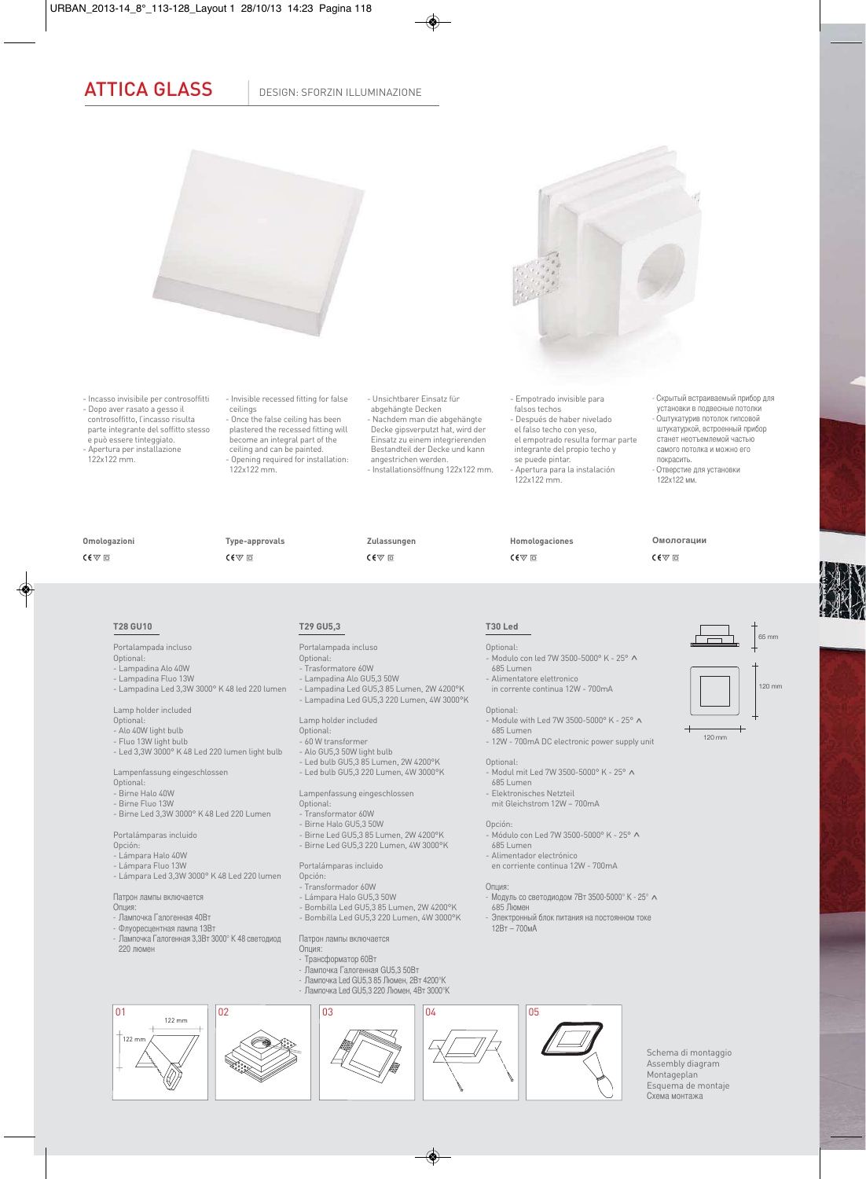## ATTICA GLASS | DESIGN: SFORZIN ILLUMINAZIONE



- Incasso invisibile per controsoffitti - Dopo aver rasato a gesso il controsoffitto, l'incasso risulta

parte integrante del soffitto stesso e può essere tinteggiato. - Apertura per installazione

122x122 mm.

- Invisible recessed fitting for false ceilings - Once the false ceiling has been plastered the recessed fitting will become an integral part of the ceiling and can be painted. - Opening required for installation:  $122x122 mm$ 

**Type-approvals**

 $C \in \nabla$   $\Box$ 

- Unsichtbarer Einsatz für abgehängte Decken - Nachdem man die abgehängte Decke gipsverputzt hat, wird der Einsatz zu einem integrierenden Bestandteil der Decke und kann angestrichen werden. - Installationsöffnung 122x122 mm.

**Zulassungen**

 $C \in \nabla \Box$ 

- Lampadina Led GU5,3 85 Lumen, 2W 4200°K - Lampadina Led GU5,3 220 Lumen, 4W 3000°K - Empotrado invisible para falsos techos

- Después de haber nivelado el falso techo con yeso, el empotrado resulta formar parte
- integrante del propio techo y se puede pintar. - Apertura para la instalación
- 122x122 mm.

**Homologaciones**

 $C \in \nabla \Box$ 

установки в подвесные потолки - Оштукатурив потолок гипсовой штукатуркой, встроенный прибор станет неотъемлемой частью самого потолка и можно его покрасить. - Отверстие для установки 122x122 мм.

- Скрытый встраиваемый прибор для

## **Omologazioni**

 $C \in \nabla$   $\Box$ 

## **T28 GU10**

- Portalampada incluso
- Optional: - Lampadina Alo 40W
- Lampadina Fluo 13W
- Lampadina Led 3,3W 3000° K 48 led 220 lumen
- Lamp holder included

Optional:

- Alo 40W light bulb
- Fluo 13W light bulb
- Led 3,3W 3000° K 48 Led 220 lumen light bulb
- Lampenfassung eingeschlossen
- Optional:
- Birne Halo 40W
- Birne Fluo 13W - Birne Led 3,3W 3000° K 48 Led 220 Lumen
- 
- Portalámparas incluido
- Opción: - Lámpara Halo 40W
- Lámpara Fluo 13W
- Lámpara Led 3,3W 3000° K 48 Led 220 lumen
- 

Патрон лампы включается

Опция:

122 mm

- Лампочка Галогенная 40Вт - Флуоресцентная лампа 13Вт

122

- Лампочка Галогенная 3,3Вт 3000° K 48 светодиод 220 люмен

### Патрон лампы включается Опция:

- Трансформатор 60Вт

Portalámparas incluido

- Transformador 60W - Lámpara Halo GU5,3 50W

**T29 GU5,3**

Portalampada incluso Optional:

- Trasformatore 60W - Lampadina Alo GU5,3 50W

Lamp holder included Optional: - 60 W transformer - Alo GU5,3 50W light bulb - Led bulb GU5,3 85 Lumen, 2W 4200°K - Led bulb GU5,3 220 Lumen, 4W 3000°K

Optional: - Transformator 60W - Birne Halo GU5,3 50W

Opción:

Lampenfassung eingeschlossen

- Birne Led GU5,3 85 Lumen, 2W 4200°K - Birne Led GU5,3 220 Lumen, 4W 3000°K

- Лампочка Галогенная GU5,3 50Вт
- Лампочка Led GU5,3 85 Люмен, 2Вт 4200°K
- 



Schema di montaggio Assembly diagram Montageplan Esquema de montaje Схема монтажа





- Module with Led 7W 3500-5000° K - 25°  $\land$  685 Lumen - 12W - 700mA DC electronic power supply unit

Optional:

**T30 Led** Optional:

Optional: - Modul mit Led 7W 3500-5000° K - 25° <mark>^</mark><br>- 685 Lumen

.<br>Modulo con led 7W 3500-5000° K - 25° ∧<br>685 Lumen

- Elektronisches Netzteil
- mit Gleichstrom 12W 700mA

- Alimentatore elettronico in corrente continua 12W - 700mA

- Módulo con Led 7W 3500-5000° K 25°  $\land$  685 Lumen
- 
- 

- 
- 

120 mm



**Омологации**

 $C \in \nabla \Box$ 







- 
- 

- 
- 
- 
- Электронный блок питания на постоянном токе 12Вт 700мА



# - Bombilla Led GU5,3 85 Lumen, 2W 4200°K

- Bombilla Led GU5,3 220 Lumen, 4W 3000°K
- - -
- Alimentador electrónico en corriente continua 12W - 700mA
- Опция:<br>- Модуль со светодиодом 7Вт 3500-5000° К 25° л
- Модуль со светодиодом 7Вт 3500-5000° K 25° ^ <sup>685</sup>Люмен
	-
- -
- -
	-
- -
-